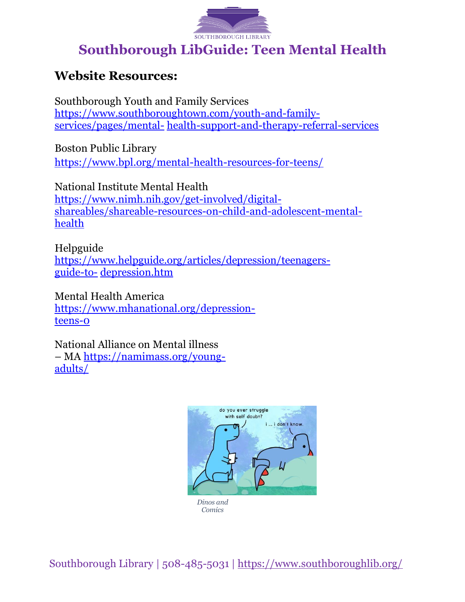

## **Southborough LibGuide: Teen Mental Health**

## **Website Resources:**

Southborough Youth and Family Services [https://www.southboroughtown.com/youth-and-family](https://www.southboroughtown.com/youth-and-family-services/pages/mental-health-support-and-therapy-referral-services)[services/pages/mental-](https://www.southboroughtown.com/youth-and-family-services/pages/mental-health-support-and-therapy-referral-services) [health-support-and-therapy-referral-services](https://www.southboroughtown.com/youth-and-family-services/pages/mental-health-support-and-therapy-referral-services)

Boston Public Library <https://www.bpl.org/mental-health-resources-for-teens/>

National Institute Mental Health [https://www.nimh.nih.gov/get-involved/digital](https://www.nimh.nih.gov/get-involved/digital-shareables/shareable-resources-on-child-and-adolescent-mental-health)[shareables/shareable-resources-on-child-and-adolescent-mental](https://www.nimh.nih.gov/get-involved/digital-shareables/shareable-resources-on-child-and-adolescent-mental-health)[health](https://www.nimh.nih.gov/get-involved/digital-shareables/shareable-resources-on-child-and-adolescent-mental-health)

Helpguide [https://www.helpguide.org/articles/depression/teenagers](https://www.helpguide.org/articles/depression/teenagers-guide-to-depression.htm)[guide-to-](https://www.helpguide.org/articles/depression/teenagers-guide-to-depression.htm) [depression.htm](https://www.helpguide.org/articles/depression/teenagers-guide-to-depression.htm)

Mental Health America [https://www.mhanational.org/depression](https://www.mhanational.org/depression-teens-0)[teens-0](https://www.mhanational.org/depression-teens-0)

National Alliance on Mental illness – MA [https://namimass.org/young](https://namimass.org/young-adults/)[adults/](https://namimass.org/young-adults/)



Southborough Library | 508-485-5031 | <https://www.southboroughlib.org/>